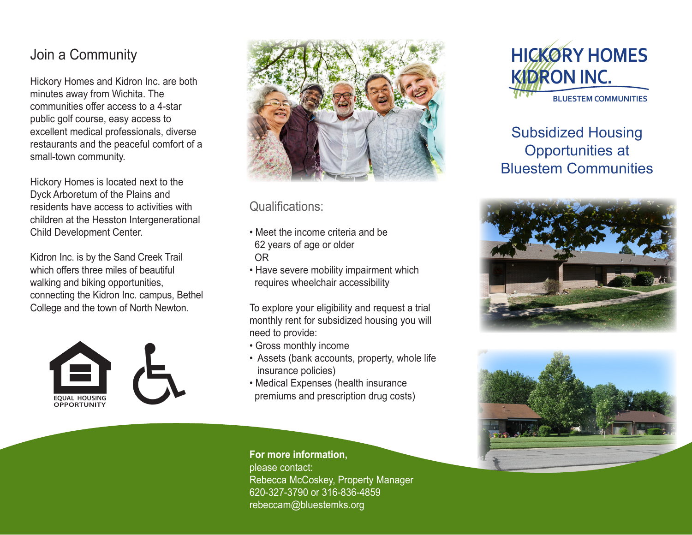## Join a Community

Hickory Homes and Kidron Inc. are both minutes away from Wichita. The communities offer access to a 4-star public golf course, easy access to excellent medical professionals, diverse restaurants and the peaceful comfort of a small-town community.

Hickory Homes is located next to the Dyck Arboretum of the Plains and residents have access to activities with children at the Hesston Intergenerational Child Development Center.

Kidron Inc. is by the Sand Creek Trail which offers three miles of beautiful walking and biking opportunities, connecting the Kidron Inc. campus, Bethel College and the town of North Newton.





## Qualifications:

- Meet the income criteria and be 62 years of age or older OR
- Have severe mobility impairment which requires wheelchair accessibility

To explore your eligibility and request a trial monthly rent for subsidized housing you will need to provide:

- Gross monthly income
- Assets (bank accounts, property, whole life insurance policies)
- Medical Expenses (health insurance premiums and prescription drug costs)



# Subsidized Housing Opportunities at Bluestem Communities





### **For more information,**

please contact: Rebecca McCoskey, Property Manager 620-327-3790 or 316-836-4859 rebeccam@bluestemks.org